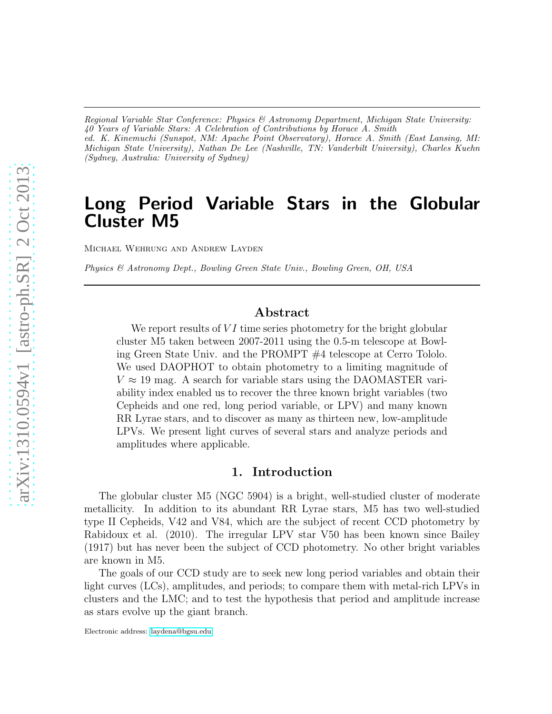*Regional Variable Star Conference: Physics & Astronomy Department, Michigan State University: 40 Years of Variable Stars: A Celebration of Contributions by Horace A. Smith ed. K. Kinemuchi (Sunspot, NM: Apache Point Observatory), Horace A. Smith (East Lansing, MI: Michigan State University), Nathan De Lee (Nashville, TN: Vanderbilt University), Charles Kuehn (Sydney, Australia: University of Sydney)*

# Long Period Variable Stars in the Globular Cluster M5

Michael Wehrung and Andrew Layden

*Physics & Astronomy Dept., Bowling Green State Univ., Bowling Green, OH, USA*

### Abstract

We report results of  $VI$  time series photometry for the bright globular cluster M5 taken between 2007-2011 using the 0.5-m telescope at Bowling Green State Univ. and the PROMPT #4 telescope at Cerro Tololo. We used DAOPHOT to obtain photometry to a limiting magnitude of  $V \approx 19$  mag. A search for variable stars using the DAOMASTER variability index enabled us to recover the three known bright variables (two Cepheids and one red, long period variable, or LPV) and many known RR Lyrae stars, and to discover as many as thirteen new, low-amplitude LPVs. We present light curves of several stars and analyze periods and amplitudes where applicable.

#### 1. Introduction

The globular cluster M5 (NGC 5904) is a bright, well-studied cluster of moderate metallicity. In addition to its abundant RR Lyrae stars, M5 has two well-studied type II Cepheids, V42 and V84, which are the subject of recent CCD photometry by Rabidoux et al. (2010). The irregular LPV star V50 has been known since Bailey (1917) but has never been the subject of CCD photometry. No other bright variables are known in M5.

The goals of our CCD study are to seek new long period variables and obtain their light curves (LCs), amplitudes, and periods; to compare them with metal-rich LPVs in clusters and the LMC; and to test the hypothesis that period and amplitude increase as stars evolve up the giant branch.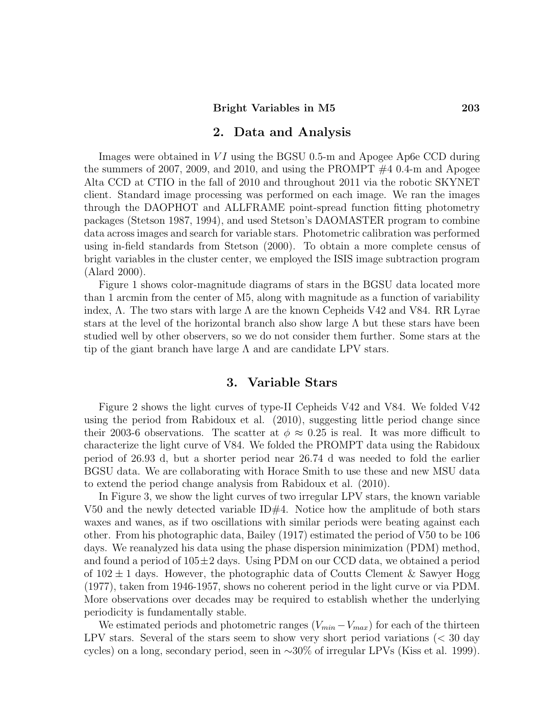#### 2. Data and Analysis

Images were obtained in  $VI$  using the BGSU 0.5-m and Apogee Ap6e CCD during the summers of 2007, 2009, and 2010, and using the PROMPT  $#4$  0.4-m and Apogee Alta CCD at CTIO in the fall of 2010 and throughout 2011 via the robotic SKYNET client. Standard image processing was performed on each image. We ran the images through the DAOPHOT and ALLFRAME point-spread function fitting photometry packages (Stetson 1987, 1994), and used Stetson's DAOMASTER program to combine data across images and search for variable stars. Photometric calibration was performed using in-field standards from Stetson (2000). To obtain a more complete census of bright variables in the cluster center, we employed the ISIS image subtraction program (Alard 2000).

Figure 1 shows color-magnitude diagrams of stars in the BGSU data located more than 1 arcmin from the center of M5, along with magnitude as a function of variability index,  $\Lambda$ . The two stars with large  $\Lambda$  are the known Cepheids V42 and V84. RR Lyrae stars at the level of the horizontal branch also show large  $\Lambda$  but these stars have been studied well by other observers, so we do not consider them further. Some stars at the tip of the giant branch have large  $\Lambda$  and are candidate LPV stars.

#### 3. Variable Stars

Figure 2 shows the light curves of type-II Cepheids V42 and V84. We folded V42 using the period from Rabidoux et al. (2010), suggesting little period change since their 2003-6 observations. The scatter at  $\phi \approx 0.25$  is real. It was more difficult to characterize the light curve of V84. We folded the PROMPT data using the Rabidoux period of 26.93 d, but a shorter period near 26.74 d was needed to fold the earlier BGSU data. We are collaborating with Horace Smith to use these and new MSU data to extend the period change analysis from Rabidoux et al. (2010).

In Figure 3, we show the light curves of two irregular LPV stars, the known variable V50 and the newly detected variable  $ID#4$ . Notice how the amplitude of both stars waxes and wanes, as if two oscillations with similar periods were beating against each other. From his photographic data, Bailey (1917) estimated the period of V50 to be 106 days. We reanalyzed his data using the phase dispersion minimization (PDM) method, and found a period of  $105\pm2$  days. Using PDM on our CCD data, we obtained a period of  $102 \pm 1$  days. However, the photographic data of Coutts Clement & Sawyer Hogg (1977), taken from 1946-1957, shows no coherent period in the light curve or via PDM. More observations over decades may be required to establish whether the underlying periodicity is fundamentally stable.

We estimated periods and photometric ranges  $(V_{min} - V_{max})$  for each of the thirteen LPV stars. Several of the stars seem to show very short period variations (< 30 day cycles) on a long, secondary period, seen in ∼30% of irregular LPVs (Kiss et al. 1999).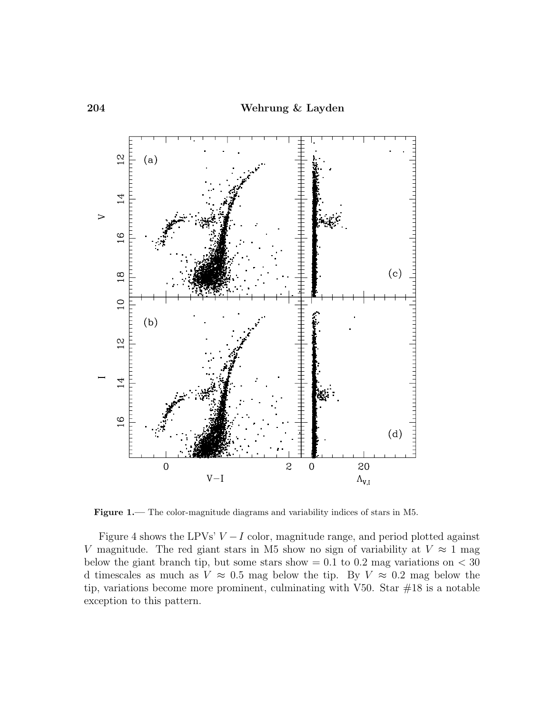

Figure 1.— The color-magnitude diagrams and variability indices of stars in M5.

Figure 4 shows the LPVs'  $V - I$  color, magnitude range, and period plotted against V magnitude. The red giant stars in M5 show no sign of variability at  $V \approx 1$  mag below the giant branch tip, but some stars show  $= 0.1$  to 0.2 mag variations on  $< 30$ d timescales as much as  $V \approx 0.5$  mag below the tip. By  $V \approx 0.2$  mag below the tip, variations become more prominent, culminating with V50. Star  $#18$  is a notable exception to this pattern.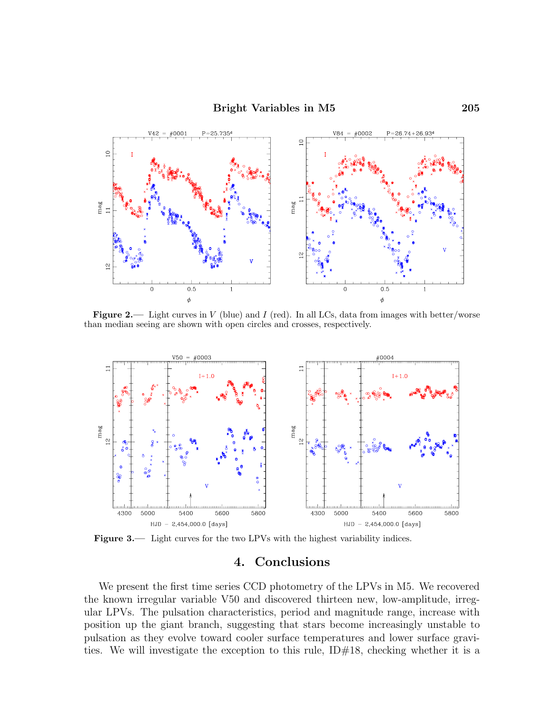

**Figure 2.**— Light curves in  $V$  (blue) and  $I$  (red). In all LCs, data from images with better/worse than median seeing are shown with open circles and crosses, respectively.



Figure 3.— Light curves for the two LPVs with the highest variability indices.

## 4. Conclusions

We present the first time series CCD photometry of the LPVs in M5. We recovered the known irregular variable V50 and discovered thirteen new, low-amplitude, irregular LPVs. The pulsation characteristics, period and magnitude range, increase with position up the giant branch, suggesting that stars become increasingly unstable to pulsation as they evolve toward cooler surface temperatures and lower surface gravities. We will investigate the exception to this rule,  $ID#18$ , checking whether it is a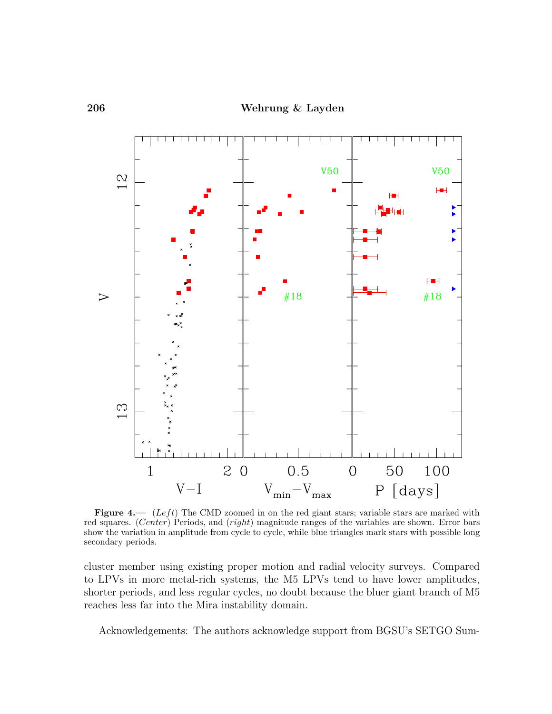

Figure 4.— (Left) The CMD zoomed in on the red giant stars; variable stars are marked with red squares. (Center) Periods, and (right) magnitude ranges of the variables are shown. Error bars show the variation in amplitude from cycle to cycle, while blue triangles mark stars with possible long secondary periods.

cluster member using existing proper motion and radial velocity surveys. Compared to LPVs in more metal-rich systems, the M5 LPVs tend to have lower amplitudes, shorter periods, and less regular cycles, no doubt because the bluer giant branch of M5 reaches less far into the Mira instability domain.

Acknowledgements: The authors acknowledge support from BGSU's SETGO Sum-